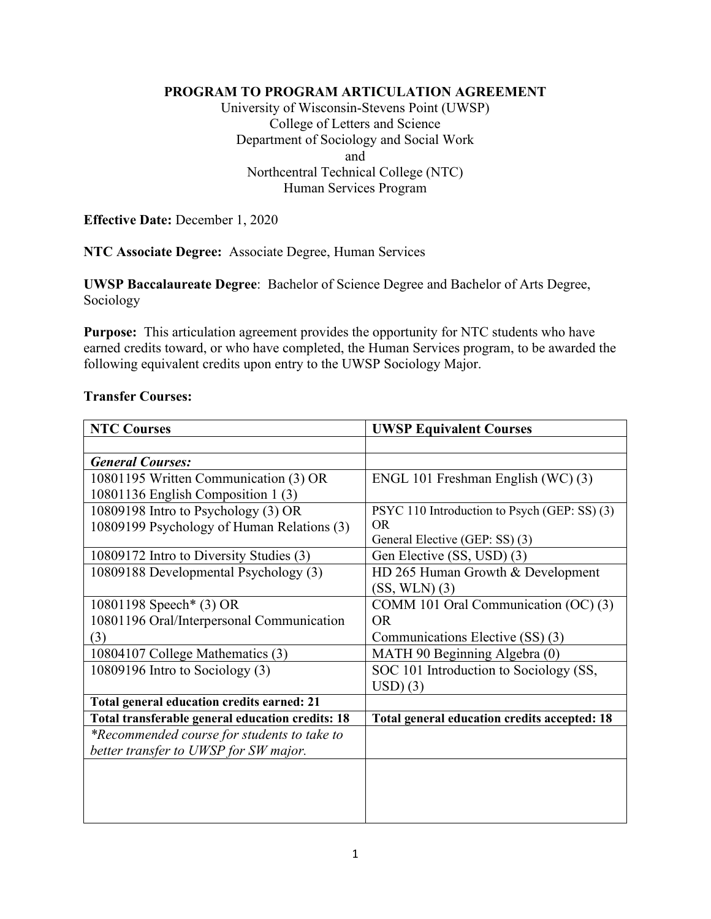#### **PROGRAM TO PROGRAM ARTICULATION AGREEMENT**

University of Wisconsin-Stevens Point (UWSP) College of Letters and Science Department of Sociology and Social Work and Northcentral Technical College (NTC) Human Services Program

**Effective Date:** December 1, 2020

**NTC Associate Degree:** Associate Degree, Human Services

**UWSP Baccalaureate Degree**: Bachelor of Science Degree and Bachelor of Arts Degree, Sociology

**Purpose:** This articulation agreement provides the opportunity for NTC students who have earned credits toward, or who have completed, the Human Services program, to be awarded the following equivalent credits upon entry to the UWSP Sociology Major.

#### **Transfer Courses:**

| <b>NTC Courses</b>                               | <b>UWSP Equivalent Courses</b>               |
|--------------------------------------------------|----------------------------------------------|
|                                                  |                                              |
| <b>General Courses:</b>                          |                                              |
| 10801195 Written Communication (3) OR            | ENGL 101 Freshman English (WC) (3)           |
| 10801136 English Composition 1 (3)               |                                              |
| 10809198 Intro to Psychology (3) OR              | PSYC 110 Introduction to Psych (GEP: SS) (3) |
| 10809199 Psychology of Human Relations (3)       | OR.                                          |
|                                                  | General Elective (GEP: SS) (3)               |
| 10809172 Intro to Diversity Studies (3)          | Gen Elective (SS, USD) (3)                   |
| 10809188 Developmental Psychology (3)            | HD 265 Human Growth & Development            |
|                                                  | $(SS, WLN)$ $(3)$                            |
| 10801198 Speech* (3) OR                          | COMM 101 Oral Communication (OC) (3)         |
| 10801196 Oral/Interpersonal Communication        | OR.                                          |
| (3)                                              | Communications Elective (SS) (3)             |
| 10804107 College Mathematics (3)                 | MATH 90 Beginning Algebra (0)                |
| 10809196 Intro to Sociology (3)                  | SOC 101 Introduction to Sociology (SS,       |
|                                                  | USD(3)                                       |
| Total general education credits earned: 21       |                                              |
| Total transferable general education credits: 18 | Total general education credits accepted: 18 |
| *Recommended course for students to take to      |                                              |
| better transfer to UWSP for SW major.            |                                              |
|                                                  |                                              |
|                                                  |                                              |
|                                                  |                                              |
|                                                  |                                              |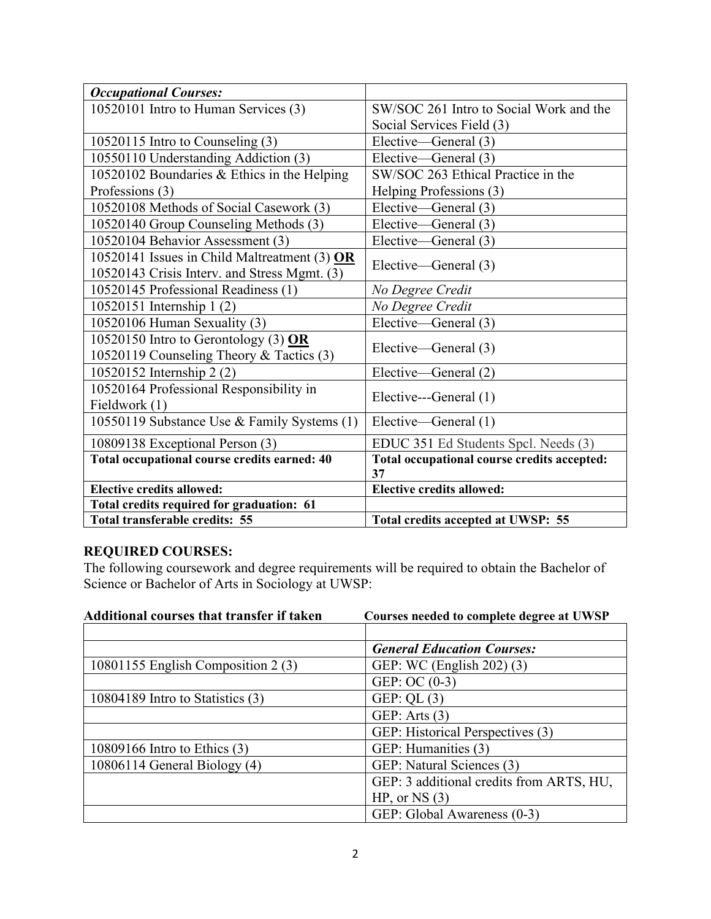| <b>Occupational Courses:</b>                 |                                             |
|----------------------------------------------|---------------------------------------------|
| 10520101 Intro to Human Services (3)         | SW/SOC 261 Intro to Social Work and the     |
|                                              | Social Services Field (3)                   |
| 10520115 Intro to Counseling (3)             | Elective—General (3)                        |
| 10550110 Understanding Addiction (3)         | Elective—General (3)                        |
| 10520102 Boundaries & Ethics in the Helping  | SW/SOC 263 Ethical Practice in the          |
| Professions (3)                              | Helping Professions (3)                     |
| 10520108 Methods of Social Casework (3)      | Elective—General (3)                        |
| 10520140 Group Counseling Methods (3)        | Elective—General (3)                        |
| 10520104 Behavior Assessment (3)             | Elective—General (3)                        |
| 10520141 Issues in Child Maltreatment (3) OR |                                             |
| 10520143 Crisis Interv. and Stress Mgmt. (3) | Elective—General (3)                        |
| 10520145 Professional Readiness (1)          | No Degree Credit                            |
| 10520151 Internship 1 (2)                    | No Degree Credit                            |
| 10520106 Human Sexuality (3)                 | Elective—General (3)                        |
| 10520150 Intro to Gerontology (3) $OR$       |                                             |
| 10520119 Counseling Theory & Tactics (3)     | Elective—General (3)                        |
| 10520152 Internship 2 (2)                    | Elective—General (2)                        |
| 10520164 Professional Responsibility in      |                                             |
| Fieldwork (1)                                | Elective---General (1)                      |
| 10550119 Substance Use & Family Systems (1)  | Elective—General (1)                        |
| 10809138 Exceptional Person (3)              | EDUC 351 Ed Students Spcl. Needs (3)        |
| Total occupational course credits earned: 40 | Total occupational course credits accepted: |
|                                              | 37                                          |
| <b>Elective credits allowed:</b>             | <b>Elective credits allowed:</b>            |
| Total credits required for graduation: 61    |                                             |
| Total transferable credits: 55               | Total credits accepted at UWSP: 55          |

# **REQUIRED COURSES:**

The following coursework and degree requirements will be required to obtain the Bachelor of Science or Bachelor of Arts in Sociology at UWSP:

| Additional courses that transfer if taken | Courses needed to complete degree at UWSP |
|-------------------------------------------|-------------------------------------------|
|                                           |                                           |
|                                           | <b>General Education Courses:</b>         |
| 10801155 English Composition 2 (3)        | GEP: WC (English 202) (3)                 |
|                                           | GEP: OC $(0-3)$                           |
| $10804189$ Intro to Statistics $(3)$      | GEP: QL $(3)$                             |
|                                           | GEP: Arts $(3)$                           |
|                                           | GEP: Historical Perspectives (3)          |
| 10809166 Intro to Ethics (3)              | GEP: Humanities (3)                       |
| $10806114$ General Biology $(4)$          | GEP: Natural Sciences (3)                 |
|                                           | GEP: 3 additional credits from ARTS, HU,  |
|                                           | $HP$ , or NS $(3)$                        |
|                                           | GEP: Global Awareness (0-3)               |